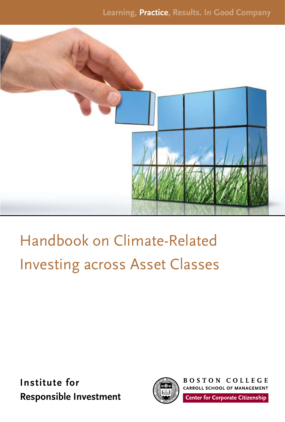

## Handbook on Climate-Related Investing across Asset Classes

**Institute for Responsible Investment**



**BOSTON COLLEGE** CARROLL SCHOOL OF MANAGEMENT **Center for Corporate Citizenship**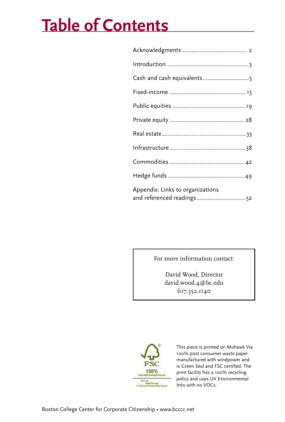## **Table of Contents**

| Cash and cash equivalents5                                    |
|---------------------------------------------------------------|
|                                                               |
|                                                               |
|                                                               |
|                                                               |
|                                                               |
|                                                               |
|                                                               |
| Appendix: Links to organizations<br>and referenced readings52 |

For more information contact:

David Wood, Director david.wood.4@bc.edu 617.552.1140



This piece is printed on Mohawk Via 100% post consumer waste paper manufactured with windpower and is Green Seal and FSC certified. The print facility has a 100% recycling policy and uses UV Environmental Inks with no VOCs.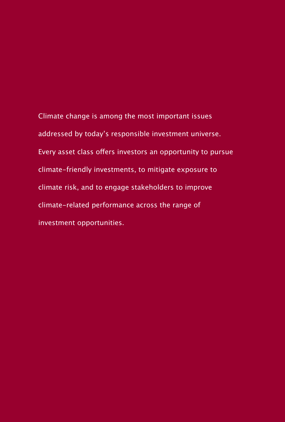Climate change is among the most important issues addressed by today's responsible investment universe. Every asset class offers investors an opportunity to pursue climate-friendly investments, to mitigate exposure to climate risk, and to engage stakeholders to improve climate-related performance across the range of investment opportunities.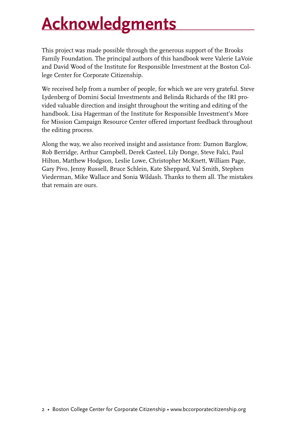## **Acknowledgments**

This project was made possible through the generous support of the Brooks Family Foundation. The principal authors of this handbook were Valerie LaVoie and David Wood of the Institute for Responsible Investment at the Boston College Center for Corporate Citizenship.

We received help from a number of people, for which we are very grateful. Steve Lydenberg of Domini Social Investments and Belinda Richards of the IRI provided valuable direction and insight throughout the writing and editing of the handbook. Lisa Hagerman of the Institute for Responsible Investment's More for Mission Campaign Resource Center offered important feedback throughout the editing process.

Along the way, we also received insight and assistance from: Damon Barglow, Rob Berridge, Arthur Campbell, Derek Casteel, Lily Donge, Steve Falci, Paul Hilton, Matthew Hodgson, Leslie Lowe, Christopher McKnett, William Page, Gary Pivo, Jenny Russell, Bruce Schlein, Kate Sheppard, Val Smith, Stephen Viederman, Mike Wallace and Sonia Wildash. Thanks to them all. The mistakes that remain are ours.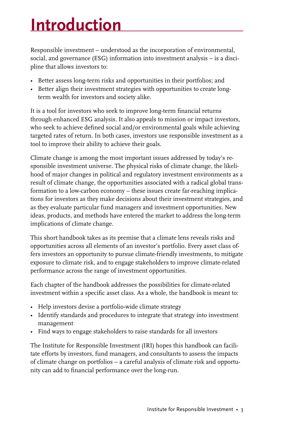## **Introduction**

Responsible investment – understood as the incorporation of environmental, social, and governance (ESG) information into investment analysis – is a discipline that allows investors to:

- Better assess long-term risks and opportunities in their portfolios; and
- Better align their investment strategies with opportunities to create longterm wealth for investors and society alike.

It is a tool for investors who seek to improve long-term financial returns through enhanced ESG analysis. It also appeals to mission or impact investors, who seek to achieve defined social and/or environmental goals while achieving targeted rates of return. In both cases, investors use responsible investment as a tool to improve their ability to achieve their goals.

Climate change is among the most important issues addressed by today's responsible investment universe. The physical risks of climate change, the likelihood of major changes in political and regulatory investment environments as a result of climate change, the opportunities associated with a radical global transformation to a low-carbon economy – these issues create far-reaching implications for investors as they make decisions about their investment strategies, and as they evaluate particular fund managers and investment opportunities. New ideas, products, and methods have entered the market to address the long-term implications of climate change.

This short handbook takes as its premise that a climate lens reveals risks and opportunities across all elements of an investor's portfolio. Every asset class offers investors an opportunity to pursue climate-friendly investments, to mitigate exposure to climate risk, and to engage stakeholders to improve climate-related performance across the range of investment opportunities.

Each chapter of the handbook addresses the possibilities for climate-related investment within a specific asset class. As a whole, the handbook is meant to:

- Help investors devise a portfolio-wide climate strategy
- Identify standards and procedures to integrate that strategy into investment management
- Find ways to engage stakeholders to raise standards for all investors

The Institute for Responsible Investment (IRI) hopes this handbook can facilitate efforts by investors, fund managers, and consultants to assess the impacts of climate change on portfolios -- a careful analysis of climate risk and opportunity can add to financial performance over the long-run.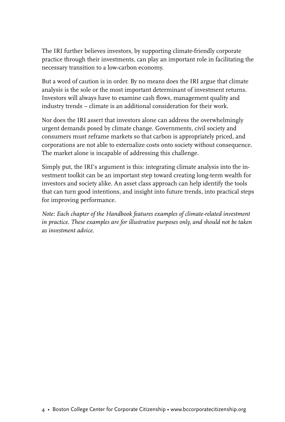The IRI further believes investors, by supporting climate-friendly corporate practice through their investments, can play an important role in facilitating the necessary transition to a low-carbon economy.

But a word of caution is in order. By no means does the IRI argue that climate analysis is the sole or the most important determinant of investment returns. Investors will always have to examine cash flows, management quality and industry trends – climate is an additional consideration for their work.

Nor does the IRI assert that investors alone can address the overwhelmingly urgent demands posed by climate change. Governments, civil society and consumers must reframe markets so that carbon is appropriately priced, and corporations are not able to externalize costs onto society without consequence. The market alone is incapable of addressing this challenge.

Simply put, the IRI's argument is this: integrating climate analysis into the investment toolkit can be an important step toward creating long-term wealth for investors and society alike. An asset class approach can help identify the tools that can turn good intentions, and insight into future trends, into practical steps for improving performance.

*Note: Each chapter of the Handbook features examples of climate-related investment in practice. These examples are for illustrative purposes only, and should not be taken as investment advice.*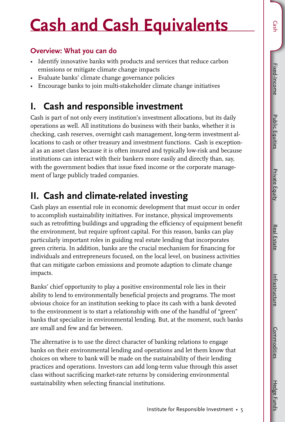**Public Equities** Public Equities

## **Cash and Cash Equivalents**

#### **Overview: What you can do**

- Identify innovative banks with products and services that reduce carbon emissions or mitigate climate change impacts
- Evaluate banks' climate change governance policies
- Encourage banks to join multi-stakeholder climate change initiatives

## **I. Cash and responsible investment**

Cash is part of not only every institution's investment allocations, but its daily operations as well. All institutions do business with their banks, whether it is checking, cash reserves, overnight cash management, long-term investment allocations to cash or other treasury and investment functions. Cash is exceptional as an asset class because it is often insured and typically low-risk and because institutions can interact with their bankers more easily and directly than, say, with the government bodies that issue fixed income or the corporate management of large publicly traded companies.

## **II. Cash and climate-related investing**

Cash plays an essential role in economic development that must occur in order to accomplish sustainability initiatives. For instance, physical improvements such as retrofitting buildings and upgrading the efficiency of equipment benefit the environment, but require upfront capital. For this reason, banks can play particularly important roles in guiding real estate lending that incorporates green criteria. In addition, banks are the crucial mechanism for financing for individuals and entrepreneurs focused, on the local level, on business activities that can mitigate carbon emissions and promote adaption to climate change impacts.

Banks' chief opportunity to play a positive environmental role lies in their ability to lend to environmentally beneficial projects and programs. The most obvious choice for an institution seeking to place its cash with a bank devoted to the environment is to start a relationship with one of the handful of "green" banks that specialize in environmental lending. But, at the moment, such banks are small and few and far between.

The alternative is to use the direct character of banking relations to engage banks on their environmental lending and operations and let them know that choices on where to bank will be made on the sustainability of their lending practices and operations. Investors can add long-term value through this asset class without sacrificing market-rate returns by considering environmental sustainability when selecting financial institutions.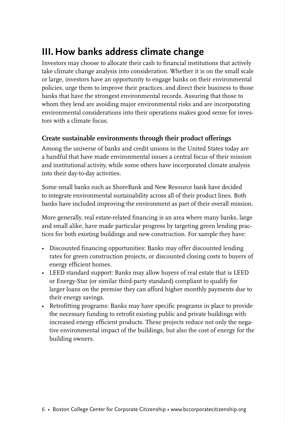## **III. How banks address climate change**

Investors may choose to allocate their cash to financial institutions that actively take climate change analysis into consideration. Whether it is on the small scale or large, investors have an opportunity to engage banks on their environmental policies, urge them to improve their practices, and direct their business to those banks that have the strongest environmental records. Assuring that those to whom they lend are avoiding major environmental risks and are incorporating environmental considerations into their operations makes good sense for investors with a climate focus.

#### **Create sustainable environments through their product offerings**

Among the universe of banks and credit unions in the United States today are a handful that have made environmental issues a central focus of their mission and institutional activity, while some others have incorporated climate analysis into their day-to-day activities.

Some small banks such as ShoreBank and New Resource bank have decided to integrate environmental sustainability across all of their product lines. Both banks have included improving the environment as part of their overall mission.

More generally, real estate-related financing is an area where many banks, large and small alike, have made particular progress by targeting green lending practices for both existing buildings and new construction. For xample they have:

- Discounted financing opportunities: Banks may offer discounted lending rates for green construction projects, or discounted closing costs to buyers of energy efficient homes.
- LEED standard support: Banks may allow buyers of real estate that is LEED or Energy-Star (or similar third-party standard) compliant to qualify for larger loans on the premise they can afford higher monthly payments due to their energy savings.
- Retrofitting programs: Banks may have specific programs in place to provide the necessary funding to retrofit existing public and private buildings with increased energy efficient products. These projects reduce not only the negative environmental impact of the buildings, but also the cost of energy for the building owners.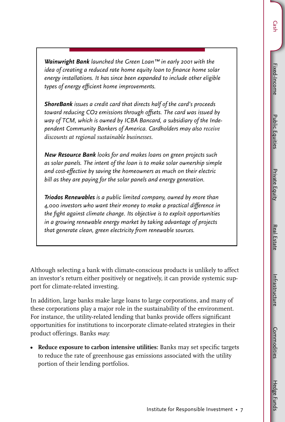**Public Equities** Public Equities

*Wainwright Bank launched the Green Loan™ in early 2001 with the idea of creating a reduced rate home equity loan to finance home solar energy installations. It has since been expanded to include other eligible types of energy efficient home improvements.*

*ShoreBank issues a credit card that directs half of the card's proceeds toward reducing CO2 emissions through offsets. The card was issued by way of TCM, which is owned by ICBA Bancard, a subsidiary of the Independent Community Bankers of America. Cardholders may also receive discounts at regional sustainable businesses.* 

*New Resource Bank looks for and makes loans on green projects such as solar panels. The intent of the loan is to make solar ownership simple and cost-effective by saving the homeowners as much on their electric bill as they are paying for the solar panels and energy generation.*

*Triodos Renewables is a public limited company, owned by more than 4,000 investors who want their money to make a practical difference in the fight against climate change. Its objective is to exploit opportunities in a growing renewable energy market by taking advantage of projects that generate clean, green electricity from renewable sources.* 

Although selecting a bank with climate-conscious products is unlikely to affect an investor's return either positively or negatively, it can provide systemic support for climate-related investing.

In addition, large banks make large loans to large corporations, and many of these corporations play a major role in the sustainability of the environment. For instance, the utility-related lending that banks provide offers significant opportunities for institutions to incorporate climate-related strategies in their product offerings. Banks *may:*

**• Reduce exposure to carbon intensive utilities:** Banks may set specific targets to reduce the rate of greenhouse gas emissions associated with the utility portion of their lending portfolios.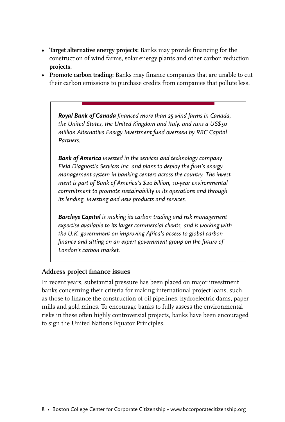- **Target alternative energy projects:** Banks may provide financing for the construction of wind farms, solar energy plants and other carbon reduction **projects.**
- **Promote carbon trading:** Banks may finance companies that are unable to cut their carbon emissions to purchase credits from companies that pollute less.

*Royal Bank of Canada financed more than 25 wind farms in Canada, the United States, the United Kingdom and Italy, and runs a US\$50 million Alternative Energy Investment fund overseen by RBC Capital Partners.*

*Bank of America invested in the services and technology company Field Diagnostic Services Inc. and plans to deploy the firm's energy management system in banking centers across the country. The investment is part of Bank of America's \$20 billion, 10-year environmental commitment to promote sustainability in its operations and through its lending, investing and new products and services.*

*Barclays Capital is making its carbon trading and risk management expertise available to its larger commercial clients, and is working with the U.K. government on improving Africa's access to global carbon finance and sitting on an expert government group on the future of London's carbon market.* 

#### **Address project finance issues**

In recent years, substantial pressure has been placed on major investment banks concerning their criteria for making international project loans, such as those to finance the construction of oil pipelines, hydroelectric dams, paper mills and gold mines. To encourage banks to fully assess the environmental risks in these often highly controversial projects, banks have been encouraged to sign the United Nations Equator Principles.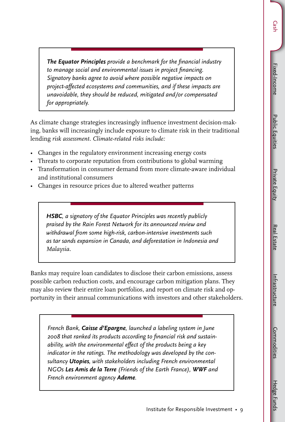Cash – Fixed-Income Hedge Fundsities and Demonstrate Hundsity Hedge Hedge Hedge Hedge Hedge Hedge Hedge Hedge Hedge Hedge Hedge Hedge Hedge Hedge Hedge Hedge Hedge Hedge Hedge Hedge Hedge Hedge Hedge Hedge Hedge Hedge Hedg Fixed-Income Fixed-Income

**Cash** 

Hedge Funds

*The Equator Principles provide a benchmark for the financial industry to manage social and environmental issues in project financing. Signatory banks agree to avoid where possible negative impacts on project-affected ecosystems and communities, and if these impacts are unavoidable, they should be reduced, mitigated and/or compensated for appropriately.* 

As climate change strategies increasingly influence investment decision-making, banks will increasingly include exposure to climate risk in their traditional lending *risk assessment. Climate-related risks include:* 

- Changes in the regulatory environment increasing energy costs
- Threats to corporate reputation from contributions to global warming
- Transformation in consumer demand from more climate-aware individual and institutional consumers
- Changes in resource prices due to altered weather patterns

*HSBC, a signatory of the Equator Principles was recently publicly praised by the Rain Forest Network for its announced review and withdrawal from some high-risk, carbon-intensive investments such as tar sands expansion in Canada, and deforestation in Indonesia and Malaysia.*

Banks may require loan candidates to disclose their carbon emissions, assess possible carbon reduction costs, and encourage carbon mitigation plans. They may also review their entire loan portfolios, and report on climate risk and opportunity in their annual communications with investors and other stakeholders.

*French Bank, Caisse d'Epargne, launched a labeling system in June 2008 that ranked its products according to financial risk and sustainability, with the environmental effect of the products being a key indicator in the ratings. The methodology was developed by the consultancy Utopies, with stakeholders including French environmental NGOs Les Amis de la Terre (Friends of the Earth France), WWF and French environment agency Ademe.*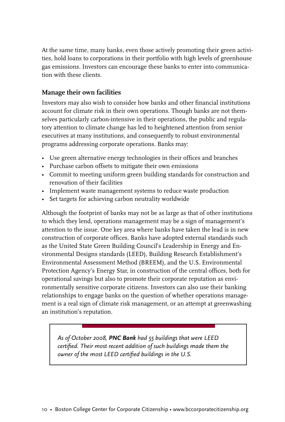At the same time, many banks, even those actively promoting their green activities, hold loans to corporations in their portfolio with high levels of greenhouse gas emissions. Investors can encourage these banks to enter into communication with these clients.

#### **Manage their own facilities**

Investors may also wish to consider how banks and other financial institutions account for climate risk in their own operations. Though banks are not themselves particularly carbon-intensive in their operations, the public and regulatory attention to climate change has led to heightened attention from senior executives at many institutions, and consequently to robust environmental programs addressing corporate operations. Banks may:

- Use green alternative energy technologies in their offices and branches
- Purchase carbon offsets to mitigate their own emissions
- Commit to meeting uniform green building standards for construction and renovation of their facilities
- Implement waste management systems to reduce waste production
- Set targets for achieving carbon neutrality worldwide

Although the footprint of banks may not be as large as that of other institutions to which they lend, operations management may be a sign of management's attention to the issue. One key area where banks have taken the lead is in new construction of corporate offices. Banks have adopted external standards such as the United State Green Building Council's Leadership in Energy and Environmental Designs standards (LEED), Building Research Establishment's Environmental Assessment Method (BREEM), and the U.S. Environmental Protection Agency's Energy Star, in construction of the central offices, both for operational savings but also to promote their corporate reputation as environmentally sensitive corporate citizens. Investors can also use their banking relationships to engage banks on the question of whether operations management is a real sign of climate risk management, or an attempt at greenwashing an institution's reputation.

*As of October 2008, PNC Bank had 55 buildings that were LEED certified. Their most recent addition of such buildings made them the owner of the most LEED certified buildings in the U.S.*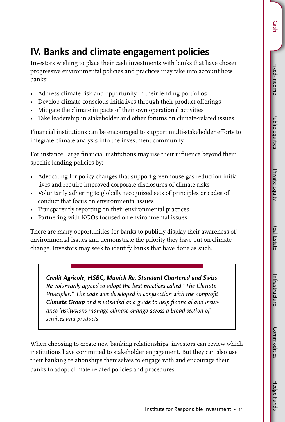**Public Equities** Public Equities

Hedge Funds

## **IV. Banks and climate engagement policies**

Investors wishing to place their cash investments with banks that have chosen progressive environmental policies and practices may take into account how banks:

- Address climate risk and opportunity in their lending portfolios
- Develop climate-conscious initiatives through their product offerings
- Mitigate the climate impacts of their own operational activities
- Take leadership in stakeholder and other forums on climate-related issues.

Financial institutions can be encouraged to support multi-stakeholder efforts to integrate climate analysis into the investment community.

For instance, large financial institutions may use their influence beyond their specific lending policies by:

- Advocating for policy changes that support greenhouse gas reduction initiatives and require improved corporate disclosures of climate risks
- Voluntarily adhering to globally recognized sets of principles or codes of conduct that focus on environmental issues
- Transparently reporting on their environmental practices
- Partnering with NGOs focused on environmental issues

There are many opportunities for banks to publicly display their awareness of environmental issues and demonstrate the priority they have put on climate change. Investors may seek to identify banks that have done as such.

*Credit Agricole, HSBC, Munich Re, Standard Chartered and Swiss Re voluntarily agreed to adopt the best practices called "The Climate Principles." The code was developed in conjunction with the nonprofit Climate Group and is intended as a guide to help financial and insurance institutions manage climate change across a broad section of services and products*

When choosing to create new banking relationships, investors can review which institutions have committed to stakeholder engagement. But they can also use their banking relationships themselves to engage with and encourage their banks to adopt climate-related policies and procedures.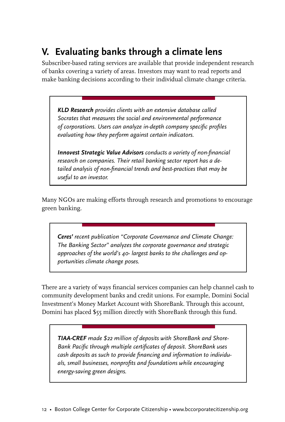## **V. Evaluating banks through a climate lens**

Subscriber-based rating services are available that provide independent research of banks covering a variety of areas. Investors may want to read reports and make banking decisions according to their individual climate change criteria.

*KLD Research provides clients with an extensive database called Socrates that measures the social and environmental performance of corporations. Users can analyze in-depth company specific profiles evaluating how they perform against certain indicators.* 

*Innovest Strategic Value Advisors conducts a variety of non-financial research on companies. Their retail banking sector report has a detailed analysis of non-financial trends and best-practices that may be useful to an investor.* 

Many NGOs are making efforts through research and promotions to encourage green banking.

*Ceres' recent publication "Corporate Governance and Climate Change: The Banking Sector" analyzes the corporate governance and strategic approaches of the world's 40- largest banks to the challenges and opportunities climate change poses.* 

There are a variety of ways financial services companies can help channel cash to community development banks and credit unions. For example, Domini Social Investment's Money Market Account with ShoreBank. Through this account, Domini has placed \$55 million directly with ShoreBank through this fund.

*TIAA-CREF made \$22 million of deposits with ShoreBank and Shore-Bank Pacific through multiple certificates of deposit. ShoreBank uses cash deposits as such to provide financing and information to individuals, small businesses, nonprofits and foundations while encouraging energy-saving green designs.*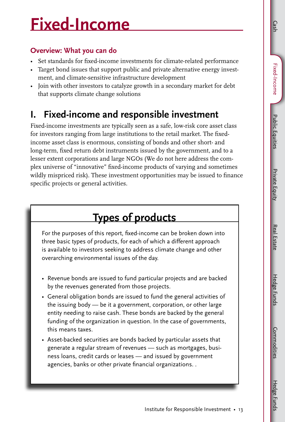Public Equities

**Public Equities** 

Hedge Funds Hedge Funds

## **Fixed-Income**

#### **Overview: What you can do**

- Set standards for fixed-income investments for climate-related performance
- Target bond issues that support public and private alternative energy investment, and climate-sensitive infrastructure development
- Join with other investors to catalyze growth in a secondary market for debt that supports climate change solutions

## **I. Fixed-income and responsible investment**

Fixed-income investments are typically seen as a safe, low-risk core asset class for investors ranging from large institutions to the retail market. The fixedincome asset class is enormous, consisting of bonds and other short- and long-term, fixed return debt instruments issued by the government, and to a lesser extent corporations and large NGOs (We do not here address the complex universe of "innovative" fixed-income products of varying and sometimes wildly mispriced risk). These investment opportunities may be issued to finance specific projects or general activities.

## **Types of products**

For the purposes of this report, fixed-income can be broken down into three basic types of products, for each of which a different approach is available to investors seeking to address climate change and other overarching environmental issues of the day.

- Revenue bonds are issued to fund particular projects and are backed by the revenues generated from those projects.
- General obligation bonds are issued to fund the general activities of the issuing body — be it a government, corporation, or other large entity needing to raise cash. These bonds are backed by the general funding of the organization in question. In the case of governments, this means taxes.
- Asset-backed securities are bonds backed by particular assets that generate a regular stream of revenues — such as mortgages, business loans, credit cards or leases — and issued by government agencies, banks or other private financial organizations. .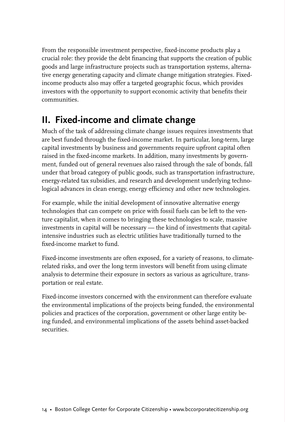From the responsible investment perspective, fixed-income products play a crucial role: they provide the debt financing that supports the creation of public goods and large infrastructure projects such as transportation systems, alternative energy generating capacity and climate change mitigation strategies. Fixedincome products also may offer a targeted geographic focus, which provides investors with the opportunity to support economic activity that benefits their communities.

## **II. Fixed-income and climate change**

Much of the task of addressing climate change issues requires investments that are best funded through the fixed-income market. In particular, long-term, large capital investments by business and governments require upfront capital often raised in the fixed-income markets. In addition, many investments by government, funded out of general revenues also raised through the sale of bonds, fall under that broad category of public goods, such as transportation infrastructure, energy-related tax subsidies, and research and development underlying technological advances in clean energy, energy efficiency and other new technologies.

For example, while the initial development of innovative alternative energy technologies that can compete on price with fossil fuels can be left to the venture capitalist, when it comes to bringing these technologies to scale, massive investments in capital will be necessary — the kind of investments that capitalintensive industries such as electric utilities have traditionally turned to the fixed-income market to fund.

Fixed-income investments are often exposed, for a variety of reasons, to climaterelated risks, and over the long term investors will benefit from using climate analysis to determine their exposure in sectors as various as agriculture, transportation or real estate.

Fixed-income investors concerned with the environment can therefore evaluate the environmental implications of the projects being funded, the environmental policies and practices of the corporation, government or other large entity being funded, and environmental implications of the assets behind asset-backed securities.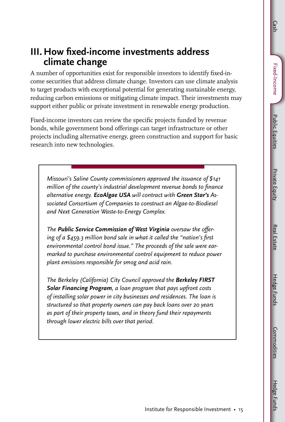# Hedge Funds

### **III. How fixed-income investments address climate change**

A number of opportunities exist for responsible investors to identify fixed-income securities that address climate change. Investors can use climate analysis to target products with exceptional potential for generating sustainable energy, reducing carbon emissions or mitigating climate impact. Their investments may support either public or private investment in renewable energy production.

Fixed-income investors can review the specific projects funded by revenue bonds, while government bond offerings can target infrastructure or other projects including alternative energy, green construction and support for basic research into new technologies.

*Missouri's Saline County commissioners approved the issuance of \$141 million of the county's industrial development revenue bonds to finance alternative energy. EcoAlgae USA will contract with Green Star's Associated Consortium of Companies to construct an Algae-to-Biodiesel and Next Generation Waste-to-Energy Complex.*

*The Public Service Commission of West Virginia oversaw the offering of a \$459.3 million bond sale in what it called the "nation's first environmental control bond issue." The proceeds of the sale were earmarked to purchase environmental control equipment to reduce power plant emissions responsible for smog and acid rain.*

*The Berkeley (California) City Council approved the Berkeley FIRST Solar Financing Program, a loan program that pays upfront costs of installing solar power in city businesses and residences. The loan is structured so that property owners can pay back loans over 20 years as part of their property taxes, and in theory fund their repayments through lower electric bills over that period.*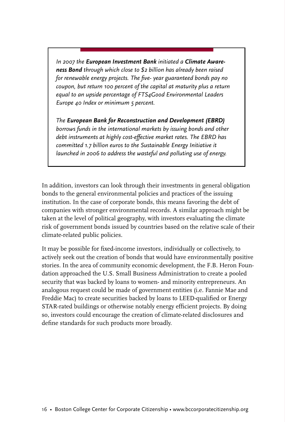*In 2007 the European Investment Bank initiated a Climate Awareness Bond through which close to \$2 billion has already been raised for renewable energy projects. The five- year guaranteed bonds pay no coupon, but return 100 percent of the capital at maturity plus a return equal to an upside percentage of FTS4Good Environmental Leaders Europe 40 Index or minimum 5 percent.* 

*The European Bank for Reconstruction and Development (EBRD) borrows funds in the international markets by issuing bonds and other debt instruments at highly cost-effective market rates. The EBRD has committed 1.7 billion euros to the Sustainable Energy Initiative it launched in 2006 to address the wasteful and polluting use of energy.*

In addition, investors can look through their investments in general obligation bonds to the general environmental policies and practices of the issuing institution. In the case of corporate bonds, this means favoring the debt of companies with stronger environmental records. A similar approach might be taken at the level of political geography, with investors evaluating the climate risk of government bonds issued by countries based on the relative scale of their climate-related public policies.

It may be possible for fixed-income investors, individually or collectively, to actively seek out the creation of bonds that would have environmentally positive stories. In the area of community economic development, the F.B. Heron Foundation approached the U.S. Small Business Administration to create a pooled security that was backed by loans to women- and minority entrepreneurs. An analogous request could be made of government entities (i.e. Fannie Mae and Freddie Mac) to create securities backed by loans to LEED-qualified or Energy STAR-rated buildings or otherwise notably energy efficient projects. By doing so, investors could encourage the creation of climate-related disclosures and define standards for such products more broadly.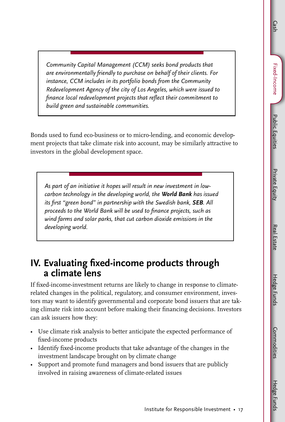Fixed-Income Fixed-Income

Cash

Hedge Funds

*Community Capital Management (CCM) seeks bond products that are environmentally friendly to purchase on behalf of their clients. For instance, CCM includes in its portfolio bonds from the Community Redevelopment Agency of the city of Los Angeles, which were issued to finance local redevelopment projects that reflect their commitment to build green and sustainable communities.* 

Bonds used to fund eco-business or to micro-lending, and economic development projects that take climate risk into account, may be similarly attractive to investors in the global development space.

*As part of an initiative it hopes will result in new investment in lowcarbon technology in the developing world, the World Bank has issued its first "green bond" in partnership with the Swedish bank, SEB. All proceeds to the World Bank will be used to finance projects, such as wind farms and solar parks, that cut carbon dioxide emissions in the developing world.*

### **IV. Evaluating fixed-income products through a climate lens**

If fixed-income-investment returns are likely to change in response to climaterelated changes in the political, regulatory, and consumer environment, investors may want to identify governmental and corporate bond issuers that are taking climate risk into account before making their financing decisions. Investors can ask issuers how they:

- Use climate risk analysis to better anticipate the expected performance of fixed-income products
- Identify fixed-income products that take advantage of the changes in the investment landscape brought on by climate change
- Support and promote fund managers and bond issuers that are publicly involved in raising awareness of climate-related issues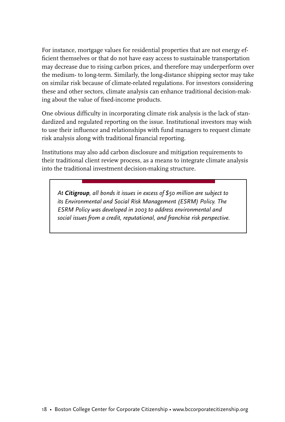For instance, mortgage values for residential properties that are not energy efficient themselves or that do not have easy access to sustainable transportation may decrease due to rising carbon prices, and therefore may underperform over the medium- to long-term. Similarly, the long-distance shipping sector may take on similar risk because of climate-related regulations. For investors considering these and other sectors, climate analysis can enhance traditional decision-making about the value of fixed-income products.

One obvious difficulty in incorporating climate risk analysis is the lack of standardized and regulated reporting on the issue. Institutional investors may wish to use their influence and relationships with fund managers to request climate risk analysis along with traditional financial reporting.

Institutions may also add carbon disclosure and mitigation requirements to their traditional client review process, as a means to integrate climate analysis into the traditional investment decision-making structure.

*At Citigroup, all bonds it issues in excess of \$50 million are subject to its Environmental and Social Risk Management (ESRM) Policy. The ESRM Policy was developed in 2003 to address environmental and social issues from a credit, reputational, and franchise risk perspective.*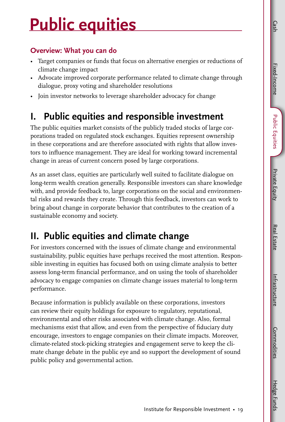Hedge Funds

## **Public equities**

#### **Overview: What you can do**

- Target companies or funds that focus on alternative energies or reductions of climate change impact
- Advocate improved corporate performance related to climate change through dialogue, proxy voting and shareholder resolutions
- Join investor networks to leverage shareholder advocacy for change

## **I. Public equities and responsible investment**

The public equities market consists of the publicly traded stocks of large corporations traded on regulated stock exchanges. Equities represent ownership in these corporations and are therefore associated with rights that allow investors to influence management. They are ideal for working toward incremental change in areas of current concern posed by large corporations.

As an asset class, equities are particularly well suited to facilitate dialogue on long-term wealth creation generally. Responsible investors can share knowledge with, and provide feedback to, large corporations on the social and environmental risks and rewards they create. Through this feedback, investors can work to bring about change in corporate behavior that contributes to the creation of a sustainable economy and society.

## **II. Public equities and climate change**

For investors concerned with the issues of climate change and environmental sustainability, public equities have perhaps received the most attention. Responsible investing in equities has focused both on using climate analysis to better assess long-term financial performance, and on using the tools of shareholder advocacy to engage companies on climate change issues material to long-term performance.

Because information is publicly available on these corporations, investors can review their equity holdings for exposure to regulatory, reputational, environmental and other risks associated with climate change. Also, formal mechanisms exist that allow, and even from the perspective of fiduciary duty encourage, investors to engage companies on their climate impacts. Moreover, climate-related stock-picking strategies and engagement serve to keep the climate change debate in the public eye and so support the development of sound public policy and governmental action.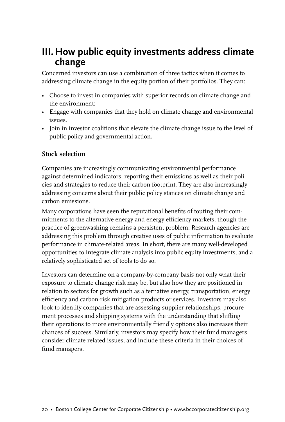### **III. How public equity investments address climate change**

Concerned investors can use a combination of three tactics when it comes to addressing climate change in the equity portion of their portfolios. They can:

- Choose to invest in companies with superior records on climate change and the environment;
- Engage with companies that they hold on climate change and environmental issues.
- Join in investor coalitions that elevate the climate change issue to the level of public policy and governmental action.

#### **Stock selection**

Companies are increasingly communicating environmental performance against determined indicators, reporting their emissions as well as their policies and strategies to reduce their carbon footprint. They are also increasingly addressing concerns about their public policy stances on climate change and carbon emissions.

Many corporations have seen the reputational benefits of touting their commitments to the alternative energy and energy efficiency markets, though the practice of greenwashing remains a persistent problem. Research agencies are addressing this problem through creative uses of public information to evaluate performance in climate-related areas. In short, there are many well-developed opportunities to integrate climate analysis into public equity investments, and a relatively sophisticated set of tools to do so.

Investors can determine on a company-by-company basis not only what their exposure to climate change risk may be, but also how they are positioned in relation to sectors for growth such as alternative energy, transportation, energy efficiency and carbon-risk mitigation products or services. Investors may also look to identify companies that are assessing supplier relationships, procurement processes and shipping systems with the understanding that shifting their operations to more environmentally friendly options also increases their chances of success. Similarly, investors may specify how their fund managers consider climate-related issues, and include these criteria in their choices of fund managers.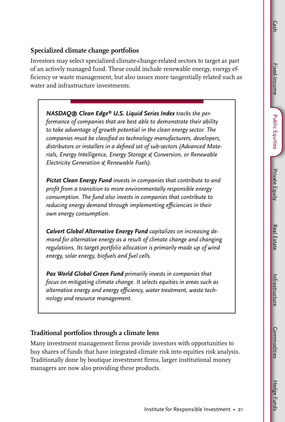Hedge Funds

#### **Specialized climate change portfolios**

Investors may select specialized climate-change-related sectors to target as part of an actively managed fund. These could include renewable energy, energy efficiency or waste management, but also issues more tangentially related such as water and infrastructure investments.

*NASDAQ® Clean Edge® U.S. Liquid Series Index tracks the performance of companies that are best able to demonstrate their ability to take advantage of growth potential in the clean energy sector. The companies must be classified as technology manufacturers, developers, distributors or installers in a defined set of sub-sectors (Advanced Materials, Energy Intelligence, Energy Storage & Conversion, or Renewable Electricity Generation & Renewable Fuels).*

*Pictet Clean Energy Fund invests in companies that contribute to and profit from a transition to more environmentally responsible energy consumption. The fund also invests in companies that contribute to reducing energy demand through implementing efficiencies in their own energy consumption.* 

*Calvert Global Alternative Energy Fund capitalizes on increasing demand for alternative energy as a result of climate change and changing regulations. Its target portfolio allocation is primarily made up of wind energy, solar energy, biofuels and fuel cells.* 

*Pax World Global Green Fund primarily invests in companies that focus on mitigating climate change. It selects equities in areas such as alternative energy and energy efficiency, water treatment, waste technology and resource management.*

#### **Traditional portfolios through a climate lens**

Many investment management firms provide investors with opportunities to buy shares of funds that have integrated climate risk into equities risk analysis. Traditionally done by boutique investment firms, larger institutional money managers are now also providing these products.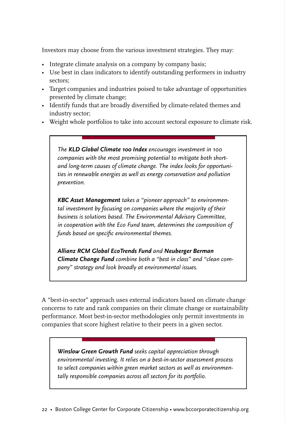Investors may choose from the various investment strategies. They may:

- Integrate climate analysis on a company by company basis;
- Use best in class indicators to identify outstanding performers in industry sectors;
- Target companies and industries poised to take advantage of opportunities presented by climate change;
- Identify funds that are broadly diversified by climate-related themes and industry sector;
- Weight whole portfolios to take into account sectoral exposure to climate risk.

*The KLD Global Climate 100 Index encourages investment in 100 companies with the most promising potential to mitigate both shortand long-term causes of climate change. The index looks for opportunities in renewable energies as well as energy conservation and pollution prevention.* 

*KBC Asset Management takes a "pioneer approach" to environmental investment by focusing on companies where the majority of their business is solutions based. The Environmental Advisory Committee, in cooperation with the Eco Fund team, determines the composition of funds based on specific environmental themes.* 

*Allianz RCM Global EcoTrends Fund and Neuberger Berman Climate Change Fund combine both a "best in class" and "clean company" strategy and look broadly at environmental issues.*

A "best-in-sector" approach uses external indicators based on climate change concerns to rate and rank companies on their climate change or sustainability performance. Most best-in-sector methodologies only permit investments in companies that score highest relative to their peers in a given sector.

*Winslow Green Growth Fund seeks capital appreciation through environmental investing. It relies on a best-in-sector assessment process to select companies within green market sectors as well as environmentally responsible companies across all sectors for its portfolio.*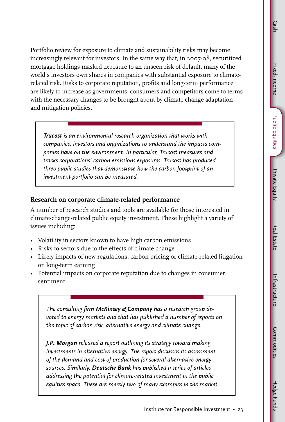Hedge Funds

Portfolio review for exposure to climate and sustainability risks may become increasingly relevant for investors. In the same way that, in 2007-08, securitized mortgage holdings masked exposure to an unseen risk of default, many of the world's investors own shares in companies with substantial exposure to climaterelated risk. Risks to corporate reputation, profits and long-term performance are likely to increase as governments, consumers and competitors come to terms with the necessary changes to be brought about by climate change adaptation and mitigation policies.

*Trucost is an environmental research organization that works with companies, investors and organizations to understand the impacts companies have on the environment. In particular, Trucost measures and tracks corporations' carbon emissions exposures. Trucost has produced three public studies that demonstrate how the carbon footprint of an investment portfolio can be measured.* 

#### **Research on corporate climate-related performance**

A number of research studies and tools are available for those interested in climate-change-related public equity investment. These highlight a variety of issues including:

- Volatility in sectors known to have high carbon emissions
- Risks to sectors due to the effects of climate change
- Likely impacts of new regulations, carbon pricing or climate-related litigation on long-term earning
- Potential impacts on corporate reputation due to changes in consumer sentiment

*The consulting firm McKinsey & Company has a research group devoted to energy markets and that has published a number of reports on the topic of carbon risk, alternative energy and climate change.* 

*J.P. Morgan released a report outlining its strategy toward making investments in alternative energy. The report discusses its assessment of the demand and cost of production for several alternative energy sources. Similarly, Deutsche Bank has published a series of articles addressing the potential for climate-related investment in the public equities space. These are merely two of many examples in the market.*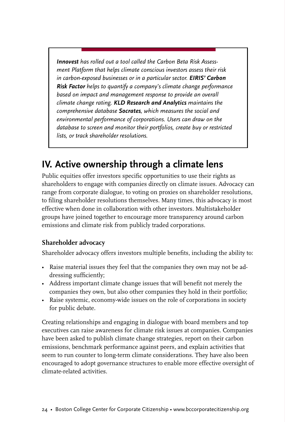*Innovest has rolled out a tool called the Carbon Beta Risk Assessment Platform that helps climate conscious investors assess their risk in carbon-exposed businesses or in a particular sector. EIRIS' Carbon Risk Factor helps to quantify a company's climate change performance based on impact and management response to provide an overall climate change rating. KLD Research and Analytics maintains the comprehensive database Socrates, which measures the social and environmental performance of corporations. Users can draw on the database to screen and monitor their portfolios, create buy or restricted lists, or track shareholder resolutions.* 

### **IV. Active ownership through a climate lens**

Public equities offer investors specific opportunities to use their rights as shareholders to engage with companies directly on climate issues. Advocacy can range from corporate dialogue, to voting on proxies on shareholder resolutions, to filing shareholder resolutions themselves. Many times, this advocacy is most effective when done in collaboration with other investors. Multistakeholder groups have joined together to encourage more transparency around carbon emissions and climate risk from publicly traded corporations.

#### **Shareholder advocacy**

Shareholder advocacy offers investors multiple benefits, including the ability to:

- Raise material issues they feel that the companies they own may not be addressing sufficiently;
- Address important climate change issues that will benefit not merely the companies they own, but also other companies they hold in their portfolio;
- Raise systemic, economy-wide issues on the role of corporations in society for public debate.

Creating relationships and engaging in dialogue with board members and top executives can raise awareness for climate risk issues at companies. Companies have been asked to publish climate change strategies, report on their carbon emissions, benchmark performance against peers, and explain activities that seem to run counter to long-term climate considerations. They have also been encouraged to adopt governance structures to enable more effective oversight of climate-related activities.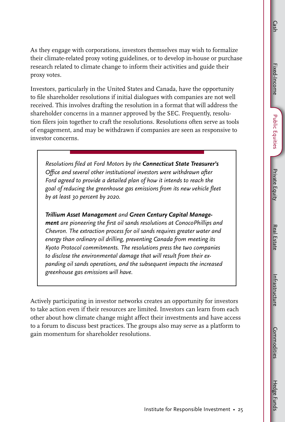As they engage with corporations, investors themselves may wish to formalize their climate-related proxy voting guidelines, or to develop in-house or purchase research related to climate change to inform their activities and guide their proxy votes.

Investors, particularly in the United States and Canada, have the opportunity to file shareholder resolutions if initial dialogues with companies are not well received. This involves drafting the resolution in a format that will address the shareholder concerns in a manner approved by the SEC. Frequently, resolution filers join together to craft the resolutions. Resolutions often serve as tools of engagement, and may be withdrawn if companies are seen as responsive to investor concerns.

*Resolutions filed at Ford Motors by the Connecticut State Treasurer's Office and several other institutional investors were withdrawn after Ford agreed to provide a detailed plan of how it intends to reach the goal of reducing the greenhouse gas emissions from its new vehicle fleet by at least 30 percent by 2020.* 

*Trillium Asset Management and Green Century Capital Management are pioneering the first oil sands resolutions at ConocoPhillips and Chevron. The extraction process for oil sands requires greater water and energy than ordinary oil drilling, preventing Canada from meeting its Kyoto Protocol commitments. The resolutions press the two companies to disclose the environmental damage that will result from their expanding oil sands operations, and the subsequent impacts the increased greenhouse gas emissions will have.*

Actively participating in investor networks creates an opportunity for investors to take action even if their resources are limited. Investors can learn from each other about how climate change might affect their investments and have access to a forum to discuss best practices. The groups also may serve as a platform to gain momentum for shareholder resolutions.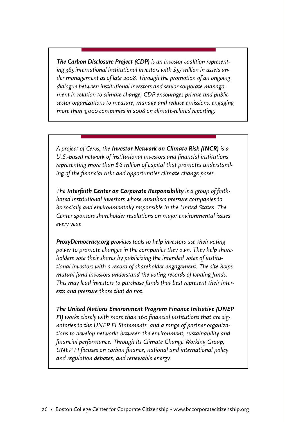*The Carbon Disclosure Project (CDP) is an investor coalition representing 385 international institutional investors with \$57 trillion in assets under management as of late 2008. Through the promotion of an ongoing dialogue between institutional investors and senior corporate management in relation to climate change, CDP encourages private and public sector organizations to measure, manage and reduce emissions, engaging more than 3,000 companies in 2008 on climate-related reporting.*

*A project of Ceres, the Investor Network on Climate Risk (INCR) is a U.S.-based network of institutional investors and financial institutions representing more than \$6 trillion of capital that promotes understanding of the financial risks and opportunities climate change poses.* 

*The Interfaith Center on Corporate Responsibility is a group of faithbased institutional investors whose members pressure companies to be socially and environmentally responsible in the United States. The Center sponsors shareholder resolutions on major environmental issues every year.* 

*ProxyDemocracy.org provides tools to help investors use their voting power to promote changes in the companies they own. They help shareholders vote their shares by publicizing the intended votes of institutional investors with a record of shareholder engagement. The site helps mutual fund investors understand the voting records of leading funds. This may lead investors to purchase funds that best represent their interests and pressure those that do not.*

*The United Nations Environment Program Finance Initiative (UNEP FI) works closely with more than 160 financial institutions that are signatories to the UNEP FI Statements, and a range of partner organizations to develop networks between the environment, sustainability and financial performance. Through its Climate Change Working Group, UNEP FI focuses on carbon finance, national and international policy and regulation debates, and renewable energy.*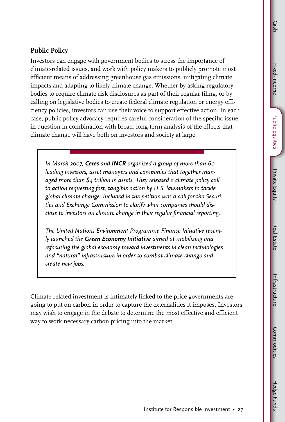Hedge Funds

#### **Public Policy**

Investors can engage with government bodies to stress the importance of climate-related issues, and work with policy makers to publicly promote most efficient means of addressing greenhouse gas emissions, mitigating climate impacts and adapting to likely climate change. Whether by asking regulatory bodies to require climate risk disclosures as part of their regular filing, or by calling on legislative bodies to create federal climate regulation or energy efficiency policies, investors can use their voice to support effective action. In each case, public policy advocacy requires careful consideration of the specific issue in question in combination with broad, long-term analysis of the effects that climate change will have both on investors and society at large.

*In March 2007, Ceres and INCR organized a group of more than 60 leading investors, asset managers and companies that together managed more than \$4 trillion in assets. They released a climate policy call to action requesting fast, tangible action by U.S. lawmakers to tackle global climate change. Included in the petition was a call for the Securities and Exchange Commission to clarify what companies should disclose to investors on climate change in their regular financial reporting.* 

*The United Nations Environment Programme Finance Initiative recently launched the Green Economy Initiative aimed at mobilizing and refocusing the global economy toward investments in clean technologies and "natural" infrastructure in order to combat climate change and create new jobs.* 

Climate-related investment is intimately linked to the price governments are going to put on carbon in order to capture the externalities it imposes. Investors may wish to engage in the debate to determine the most effective and efficient way to work necessary carbon pricing into the market.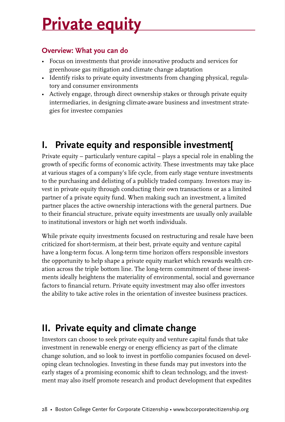## **Private equity**

#### **Overview: What you can do**

- Focus on investments that provide innovative products and services for greenhouse gas mitigation and climate change adaptation
- Identify risks to private equity investments from changing physical, regulatory and consumer environments
- Actively engage, through direct ownership stakes or through private equity intermediaries, in designing climate-aware business and investment strategies for investee companies

## **I. Private equity and responsible investment[**

Private equity – particularly venture capital – plays a special role in enabling the growth of specific forms of economic activity. These investments may take place at various stages of a company's life cycle, from early stage venture investments to the purchasing and delisting of a publicly traded company. Investors may invest in private equity through conducting their own transactions or as a limited partner of a private equity fund. When making such an investment, a limited partner places the active ownership interactions with the general partners. Due to their financial structure, private equity investments are usually only available to institutional investors or high net worth individuals.

While private equity investments focused on restructuring and resale have been criticized for short-termism, at their best, private equity and venture capital have a long-term focus. A long-term time horizon offers responsible investors the opportunity to help shape a private equity market which rewards wealth creation across the triple bottom line. The long-term commitment of these investments ideally heightens the materiality of environmental, social and governance factors to financial return. Private equity investment may also offer investors the ability to take active roles in the orientation of investee business practices.

## **II. Private equity and climate change**

Investors can choose to seek private equity and venture capital funds that take investment in renewable energy or energy efficiency as part of the climate change solution, and so look to invest in portfolio companies focused on developing clean technologies. Investing in these funds may put investors into the early stages of a promising economic shift to clean technology, and the investment may also itself promote research and product development that expedites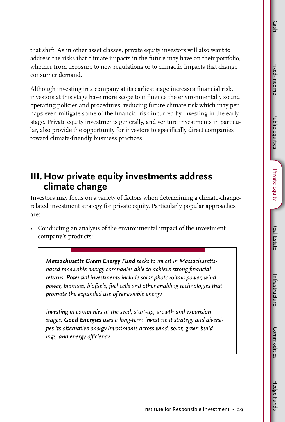**Public Equities** Public Equities

that shift. As in other asset classes, private equity investors will also want to address the risks that climate impacts in the future may have on their portfolio, whether from exposure to new regulations or to climactic impacts that change consumer demand.

Although investing in a company at its earliest stage increases financial risk, investors at this stage have more scope to influence the environmentally sound operating policies and procedures, reducing future climate risk which may perhaps even mitigate some of the financial risk incurred by investing in the early stage. Private equity investments generally, and venture investments in particular, also provide the opportunity for investors to specifically direct companies toward climate-friendly business practices.

### **III. How private equity investments address climate change**

Investors may focus on a variety of factors when determining a climate-changerelated investment strategy for private equity. Particularly popular approaches are:

• Conducting an analysis of the environmental impact of the investment company's products;

*Massachusetts Green Energy Fund seeks to invest in Massachusettsbased renewable energy companies able to achieve strong financial returns. Potential investments include solar photovoltaic power, wind power, biomass, biofuels, fuel cells and other enabling technologies that promote the expanded use of renewable energy.* 

*Investing in companies at the seed, start-up, growth and expansion stages, Good Energies uses a long-term investment strategy and diversifies its alternative energy investments across wind, solar, green buildings, and energy efficiency.*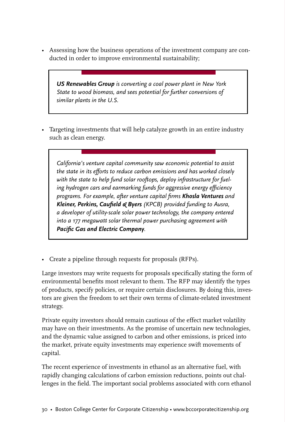• Assessing how the business operations of the investment company are conducted in order to improve environmental sustainability;

*US Renewables Group is converting a coal power plant in New York State to wood biomass, and sees potential for further conversions of similar plants in the U.S.*

• Targeting investments that will help catalyze growth in an entire industry such as clean energy.

*California's venture capital community saw economic potential to assist the state in its efforts to reduce carbon emissions and has worked closely with the state to help fund solar rooftops, deploy infrastructure for fueling hydrogen cars and earmarking funds for aggressive energy efficiency programs. For example, after venture capital firms Khosla Ventures and Kleiner, Perkins, Caufield & Byers (KPCB) provided funding to Ausra, a developer of utility-scale solar power technology, the company entered into a 177 megawatt solar thermal power purchasing agreement with Pacific Gas and Electric Company.*

• Create a pipeline through requests for proposals (RFPs).

Large investors may write requests for proposals specifically stating the form of environmental benefits most relevant to them. The RFP may identify the types of products, specify policies, or require certain disclosures. By doing this, investors are given the freedom to set their own terms of climate-related investment strategy.

Private equity investors should remain cautious of the effect market volatility may have on their investments. As the promise of uncertain new technologies, and the dynamic value assigned to carbon and other emissions, is priced into the market, private equity investments may experience swift movements of capital.

The recent experience of investments in ethanol as an alternative fuel, with rapidly changing calculations of carbon emission reductions, points out challenges in the field. The important social problems associated with corn ethanol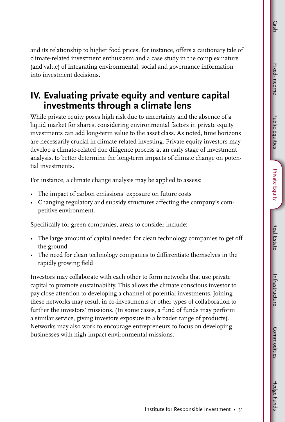**Public Equities** Public Equities

Intrastructure Infrastructure**Commodities** Commodities

and its relationship to higher food prices, for instance, offers a cautionary tale of climate-related investment enthusiasm and a case study in the complex nature (and value) of integrating environmental, social and governance information into investment decisions.

### **IV. Evaluating private equity and venture capital investments through a climate lens**

While private equity poses high risk due to uncertainty and the absence of a liquid market for shares, considering environmental factors in private equity investments can add long-term value to the asset class. As noted, time horizons are necessarily crucial in climate-related investing. Private equity investors may develop a climate-related due diligence process at an early stage of investment analysis, to better determine the long-term impacts of climate change on potential investments.

For instance, a climate change analysis may be applied to assess:

- The impact of carbon emissions' exposure on future costs
- Changing regulatory and subsidy structures affecting the company's competitive environment.

Specifically for green companies, areas to consider include:

- The large amount of capital needed for clean technology companies to get off the ground
- The need for clean technology companies to differentiate themselves in the rapidly growing field

Investors may collaborate with each other to form networks that use private capital to promote sustainability. This allows the climate conscious investor to pay close attention to developing a channel of potential investments. Joining these networks may result in co-investments or other types of collaboration to further the investors' missions. (In some cases, a fund of funds may perform a similar service, giving investors exposure to a broader range of products). Networks may also work to encourage entrepreneurs to focus on developing businesses with high-impact environmental missions.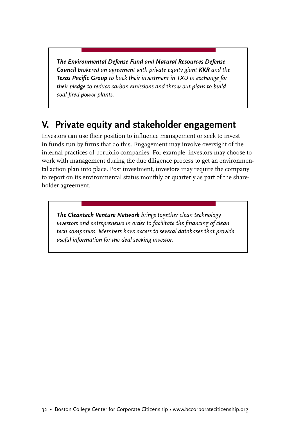*The Environmental Defense Fund and Natural Resources Defense Council brokered an agreement with private equity giant KKR and the Texas Pacific Group to back their investment in TXU in exchange for their pledge to reduce carbon emissions and throw out plans to build coal-fired power plants.* 

## **V. Private equity and stakeholder engagement**

Investors can use their position to influence management or seek to invest in funds run by firms that do this. Engagement may involve oversight of the internal practices of portfolio companies. For example, investors may choose to work with management during the due diligence process to get an environmental action plan into place. Post investment, investors may require the company to report on its environmental status monthly or quarterly as part of the shareholder agreement.

*The Cleantech Venture Network brings together clean technology investors and entrepreneurs in order to facilitate the financing of clean tech companies. Members have access to several databases that provide useful information for the deal seeking investor.*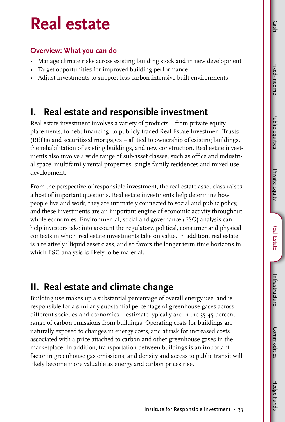Public Equities Public Equities

## **Real estate**

#### **Overview: What you can do**

- Manage climate risks across existing building stock and in new development
- Target opportunities for improved building performance
- Adjust investments to support less carbon intensive built environments

## **I. Real estate and responsible investment**

Real estate investment involves a variety of products – from private equity placements, to debt financing, to publicly traded Real Estate Investment Trusts (REITs) and securitized mortgages – all tied to ownership of existing buildings, the rehabilitation of existing buildings, and new construction. Real estate investments also involve a wide range of sub-asset classes, such as office and industrial space, multifamily rental properties, single-family residences and mixed-use development.

From the perspective of responsible investment, the real estate asset class raises a host of important questions. Real estate investments help determine how people live and work, they are intimately connected to social and public policy, and these investments are an important engine of economic activity throughout whole economies. Environmental, social and governance (ESG) analysis can help investors take into account the regulatory, political, consumer and physical contexts in which real estate investments take on value. In addition, real estate is a relatively illiquid asset class, and so favors the longer term time horizons in which ESG analysis is likely to be material.

## **II. Real estate and climate change**

Building use makes up a substantial percentage of overall energy use, and is responsible for a similarly substantial percentage of greenhouse gases across different societies and economies – estimate typically are in the 35-45 percent range of carbon emissions from buildings. Operating costs for buildings are naturally exposed to changes in energy costs, and at risk for increased costs associated with a price attached to carbon and other greenhouse gases in the marketplace. In addition, transportation between buildings is an important factor in greenhouse gas emissions, and density and access to public transit will likely become more valuable as energy and carbon prices rise.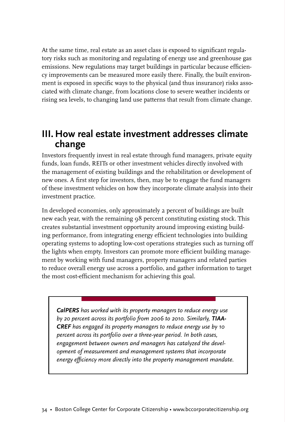At the same time, real estate as an asset class is exposed to significant regulatory risks such as monitoring and regulating of energy use and greenhouse gas emissions. New regulations may target buildings in particular because efficiency improvements can be measured more easily there. Finally, the built environment is exposed in specific ways to the physical (and thus insurance) risks associated with climate change, from locations close to severe weather incidents or rising sea levels, to changing land use patterns that result from climate change.

### **III. How real estate investment addresses climate change**

Investors frequently invest in real estate through fund managers, private equity funds, loan funds, REITs or other investment vehicles directly involved with the management of existing buildings and the rehabilitation or development of new ones. A first step for investors, then, may be to engage the fund managers of these investment vehicles on how they incorporate climate analysis into their investment practice.

In developed economies, only approximately 2 percent of buildings are built new each year, with the remaining 98 percent constituting existing stock. This creates substantial investment opportunity around improving existing building performance, from integrating energy efficient technologies into building operating systems to adopting low-cost operations strategies such as turning off the lights when empty. Investors can promote more efficient building management by working with fund managers, property managers and related parties to reduce overall energy use across a portfolio, and gather information to target the most cost-efficient mechanism for achieving this goal.

*CalPERS has worked with its property managers to reduce energy use by 20 percent across its portfolio from 2006 to 2010. Similarly, TIAA-CREF has engaged its property managers to reduce energy use by 10 percent across its portfolio over a three-year period. In both cases, engagement between owners and managers has catalyzed the development of measurement and management systems that incorporate energy efficiency more directly into the property management mandate.*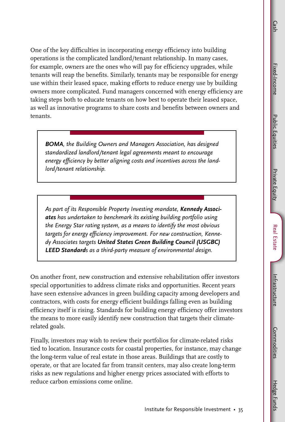One of the key difficulties in incorporating energy efficiency into building operations is the complicated landlord/tenant relationship. In many cases, for example, owners are the ones who will pay for efficiency upgrades, while tenants will reap the benefits. Similarly, tenants may be responsible for energy use within their leased space, making efforts to reduce energy use by building owners more complicated. Fund managers concerned with energy efficiency are taking steps both to educate tenants on how best to operate their leased space, as well as innovative programs to share costs and benefits between owners and tenants.

*BOMA, the Building Owners and Managers Association, has designed standardized landlord/tenant legal agreements meant to encourage energy efficiency by better aligning costs and incentives across the landlord/tenant relationship.*

*As part of its Responsible Property Investing mandate, Kennedy Associates has undertaken to benchmark its existing building portfolio using the Energy Star rating system, as a means to identify the most obvious targets for energy efficiency improvement. For new construction, Kennedy Associates targets United States Green Building Council (USGBC) LEED Standards as a third-party measure of environmental design.*

On another front, new construction and extensive rehabilitation offer investors special opportunities to address climate risks and opportunities. Recent years have seen extensive advances in green building capacity among developers and contractors, with costs for energy efficient buildings falling even as building efficiency itself is rising. Standards for building energy efficiency offer investors the means to more easily identify new construction that targets their climaterelated goals.

Finally, investors may wish to review their portfolios for climate-related risks tied to location. Insurance costs for coastal properties, for instance, may change the long-term value of real estate in those areas. Buildings that are costly to operate, or that are located far from transit centers, may also create long-term risks as new regulations and higher energy prices associated with efforts to reduce carbon emissions come online.

Hedge Funds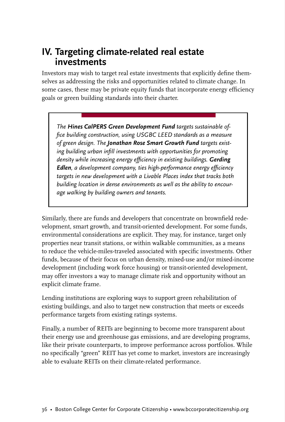### **IV. Targeting climate-related real estate investments**

Investors may wish to target real estate investments that explicitly define themselves as addressing the risks and opportunities related to climate change. In some cases, these may be private equity funds that incorporate energy efficiency goals or green building standards into their charter.

*The Hines CalPERS Green Development Fund targets sustainable office building construction, using USGBC LEED standards as a measure of green design. The Jonathan Rose Smart Growth Fund targets existing building urban infill investments with opportunities for promoting density while increasing energy efficiency in existing buildings. Gerding Edlen, a development company, ties high-performance energy efficiency targets in new development with a Livable Places index that tracks both building location in dense environments as well as the ability to encourage walking by building owners and tenants.*

Similarly, there are funds and developers that concentrate on brownfield redevelopment, smart growth, and transit-oriented development. For some funds, environmental considerations are explicit. They may, for instance, target only properties near transit stations, or within walkable communities, as a means to reduce the vehicle-miles-traveled associated with specific investments. Other funds, because of their focus on urban density, mixed-use and/or mixed-income development (including work force housing) or transit-oriented development, may offer investors a way to manage climate risk and opportunity without an explicit climate frame.

Lending institutions are exploring ways to support green rehabilitation of existing buildings, and also to target new construction that meets or exceeds performance targets from existing ratings systems.

Finally, a number of REITs are beginning to become more transparent about their energy use and greenhouse gas emissions, and are developing programs, like their private counterparts, to improve performance across portfolios. While no specifically "green" REIT has yet come to market, investors are increasingly able to evaluate REITs on their climate-related performance.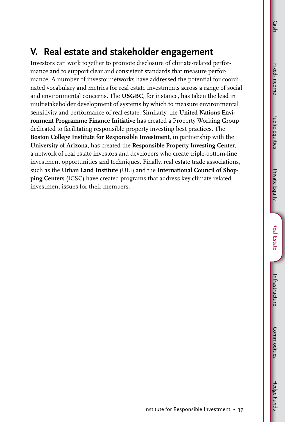**Public Equities** Public Equities

Hedge Funds

#### **V. Real estate and stakeholder engagement**  Investors can work together to promote disclosure of climate-related perfor-

mance and to support clear and consistent standards that measure performance. A number of investor networks have addressed the potential for coordinated vocabulary and metrics for real estate investments across a range of social and environmental concerns. The **USGBC**, for instance, has taken the lead in multistakeholder development of systems by which to measure environmental sensitivity and performance of real estate. Similarly, the **United Nations Environment Programme Finance Initiative** has created a Property Working Group dedicated to facilitating responsible property investing best practices. The **Boston College Institute for Responsible Investment**, in partnership with the **University of Arizona**, has created the **Responsible Property Investing Center**, a network of real estate investors and developers who create triple-bottom-line investment opportunities and techniques. Finally, real estate trade associations, such as the **Urban Land Institute** (ULI) and the **International Council of Shopping Centers** (ICSC) have created programs that address key climate-related investment issues for their members.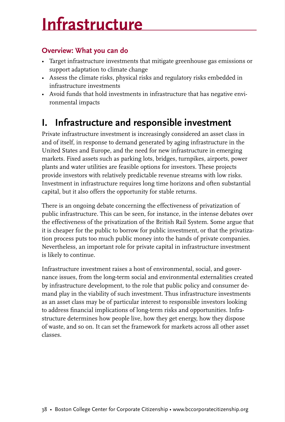## **Infrastructure**

#### **Overview: What you can do**

- Target infrastructure investments that mitigate greenhouse gas emissions or support adaptation to climate change
- Assess the climate risks, physical risks and regulatory risks embedded in infrastructure investments
- Avoid funds that hold investments in infrastructure that has negative environmental impacts

## **I. Infrastructure and responsible investment**

Private infrastructure investment is increasingly considered an asset class in and of itself, in response to demand generated by aging infrastructure in the United States and Europe, and the need for new infrastructure in emerging markets. Fixed assets such as parking lots, bridges, turnpikes, airports, power plants and water utilities are feasible options for investors. These projects provide investors with relatively predictable revenue streams with low risks. Investment in infrastructure requires long time horizons and often substantial capital, but it also offers the opportunity for stable returns.

There is an ongoing debate concerning the effectiveness of privatization of public infrastructure. This can be seen, for instance, in the intense debates over the effectiveness of the privatization of the British Rail System. Some argue that it is cheaper for the public to borrow for public investment, or that the privatization process puts too much public money into the hands of private companies. Nevertheless, an important role for private capital in infrastructure investment is likely to continue.

Infrastructure investment raises a host of environmental, social, and governance issues, from the long-term social and environmental externalities created by infrastructure development, to the role that public policy and consumer demand play in the viability of such investment. Thus infrastructure investments as an asset class may be of particular interest to responsible investors looking to address financial implications of long-term risks and opportunities. Infrastructure determines how people live, how they get energy, how they dispose of waste, and so on. It can set the framework for markets across all other asset classes.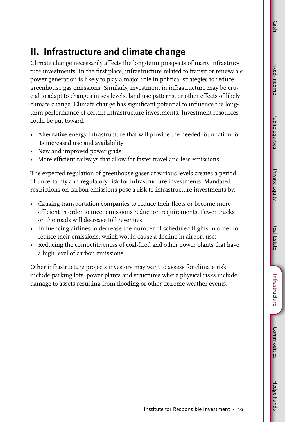**Public Equities** Public Equities

Climate change necessarily affects the long-term prospects of many infrastructure investments. In the first place, infrastructure related to transit or renewable power generation is likely to play a major role in political strategies to reduce greenhouse gas emissions. Similarly, investment in infrastructure may be crucial to adapt to changes in sea levels, land use patterns, or other effects of likely climate change. Climate change has significant potential to influence the longterm performance of certain infrastructure investments. Investment resources could be put toward:

- Alternative energy infrastructure that will provide the needed foundation for its increased use and availability
- New and improved power grids
- More efficient railways that allow for faster travel and less emissions.

The expected regulation of greenhouse gases at various levels creates a period of uncertainty and regulatory risk for infrastructure investments. Mandated restrictions on carbon emissions pose a risk to infrastructure investments by:

- Causing transportation companies to reduce their fleets or become more efficient in order to meet emissions reduction requirements. Fewer trucks on the roads will decrease toll revenues;
- Influencing airlines to decrease the number of scheduled flights in order to reduce their emissions, which would cause a decline in airport use;
- Reducing the competitiveness of coal-fired and other power plants that have a high level of carbon emissions.

Other infrastructure projects investors may want to assess for climate risk include parking lots, power plants and structures where physical risks include damage to assets resulting from flooding or other extreme weather events.

Hedge Funds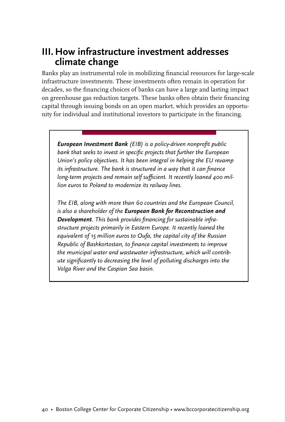### **III. How infrastructure investment addresses climate change**

Banks play an instrumental role in mobilizing financial resources for large-scale infrastructure investments. These investments often remain in operation for decades, so the financing choices of banks can have a large and lasting impact on greenhouse gas reduction targets. These banks often obtain their financing capital through issuing bonds on an open market, which provides an opportunity for individual and institutional investors to participate in the financing.

*European Investment Bank (EIB) is a policy-driven nonprofit public bank that seeks to invest in specific projects that further the European Union's policy objectives. It has been integral in helping the EU revamp its infrastructure. The bank is structured in a way that it can finance long-term projects and remain self sufficient. It recently loaned 400 million euros to Poland to modernize its railway lines.* 

*The EIB, along with more than 60 countries and the European Council, is also a shareholder of the European Bank for Reconstruction and Development. This bank provides financing for sustainable infrastructure projects primarily in Eastern Europe. It recently loaned the equivalent of 15 million euros to Oufa, the capital city of the Russian Republic of Bashkortostan, to finance capital investments to improve the municipal water and wastewater infrastructure, which will contribute significantly to decreasing the level of polluting discharges into the Volga River and the Caspian Sea basin.*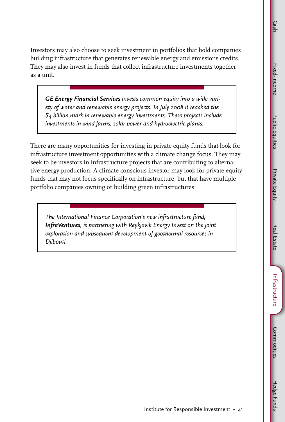Investors may also choose to seek investment in portfolios that hold companies building infrastructure that generates renewable energy and emissions credits. They may also invest in funds that collect infrastructure investments together as a unit.

*GE Energy Financial Services invests common equity into a wide variety of water and renewable energy projects. In July 2008 it reached the \$4 billion mark in renewable energy investments. These projects include investments in wind farms, solar power and hydroelectric plants.* 

There are many opportunities for investing in private equity funds that look for infrastructure investment opportunities with a climate change focus. They may seek to be investors in infrastructure projects that are contributing to alternative energy production. A climate-conscious investor may look for private equity funds that may not focus specifically on infrastructure, but that have multiple portfolio companies owning or building green infrastructures.

*The International Finance Corporation's new infrastructure fund, InfraVentures, is partnering with Reykjavik Energy Invest on the joint exploration and subsequent development of geothermal resources in Djibouti.*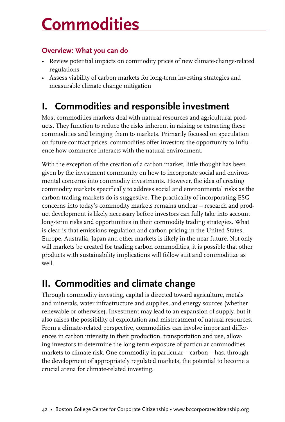## **Commodities**

#### **Overview: What you can do**

- Review potential impacts on commodity prices of new climate-change-related regulations
- Assess viability of carbon markets for long-term investing strategies and measurable climate change mitigation

## **I. Commodities and responsible investment**

Most commodities markets deal with natural resources and agricultural products. They function to reduce the risks inherent in raising or extracting these commodities and bringing them to markets. Primarily focused on speculation on future contract prices, commodities offer investors the opportunity to influence how commerce interacts with the natural environment.

With the exception of the creation of a carbon market, little thought has been given by the investment community on how to incorporate social and environmental concerns into commodity investments. However, the idea of creating commodity markets specifically to address social and environmental risks as the carbon-trading markets do is suggestive. The practicality of incorporating ESG concerns into today's commodity markets remains unclear – research and product development is likely necessary before investors can fully take into account long-term risks and opportunities in their commodity trading strategies. What is clear is that emissions regulation and carbon pricing in the United States, Europe, Australia, Japan and other markets is likely in the near future. Not only will markets be created for trading carbon commodities, it is possible that other products with sustainability implications will follow suit and commoditize as well.

## **II. Commodities and climate change**

Through commodity investing, capital is directed toward agriculture, metals and minerals, water infrastructure and supplies, and energy sources (whether renewable or otherwise). Investment may lead to an expansion of supply, but it also raises the possibility of exploitation and mistreatment of natural resources. From a climate-related perspective, commodities can involve important differences in carbon intensity in their production, transportation and use, allowing investors to determine the long-term exposure of particular commodities markets to climate risk. One commodity in particular – carbon – has, through the development of appropriately regulated markets, the potential to become a crucial arena for climate-related investing.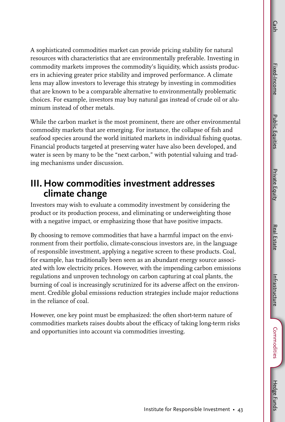**Public Equities** Public Equities

Intrastructure Infrastructure Commodities Commodities

A sophisticated commodities market can provide pricing stability for natural resources with characteristics that are environmentally preferable. Investing in commodity markets improves the commodity's liquidity, which assists producers in achieving greater price stability and improved performance. A climate lens may allow investors to leverage this strategy by investing in commodities that are known to be a comparable alternative to environmentally problematic choices. For example, investors may buy natural gas instead of crude oil or aluminum instead of other metals.

While the carbon market is the most prominent, there are other environmental commodity markets that are emerging. For instance, the collapse of fish and seafood species around the world initiated markets in individual fishing quotas. Financial products targeted at preserving water have also been developed, and water is seen by many to be the "next carbon," with potential valuing and trading mechanisms under discussion.

### **III. How commodities investment addresses climate change**

Investors may wish to evaluate a commodity investment by considering the product or its production process, and eliminating or underweighting those with a negative impact, or emphasizing those that have positive impacts.

By choosing to remove commodities that have a harmful impact on the environment from their portfolio, climate-conscious investors are, in the language of responsible investment, applying a negative screen to these products. Coal, for example, has traditionally been seen as an abundant energy source associated with low electricity prices. However, with the impending carbon emissions regulations and unproven technology on carbon capturing at coal plants, the burning of coal is increasingly scrutinized for its adverse affect on the environment. Credible global emissions reduction strategies include major reductions in the reliance of coal.

However, one key point must be emphasized: the often short-term nature of commodities markets raises doubts about the efficacy of taking long-term risks and opportunities into account via commodities investing.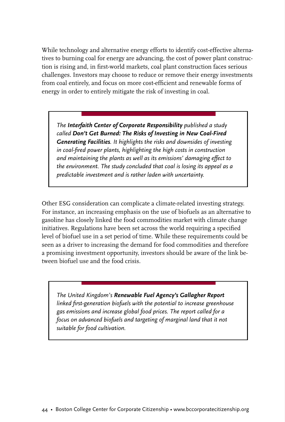While technology and alternative energy efforts to identify cost-effective alternatives to burning coal for energy are advancing, the cost of power plant construction is rising and, in first-world markets, coal plant construction faces serious challenges. Investors may choose to reduce or remove their energy investments from coal entirely, and focus on more cost-efficient and renewable forms of energy in order to entirely mitigate the risk of investing in coal.

*The Interfaith Center of Corporate Responsibility published a study called Don't Get Burned: The Risks of Investing in New Coal-Fired Generating Facilities. It highlights the risks and downsides of investing in coal-fired power plants, highlighting the high costs in construction and maintaining the plants as well as its emissions' damaging effect to the environment. The study concluded that coal is losing its appeal as a predictable investment and is rather laden with uncertainty.*

Other ESG consideration can complicate a climate-related investing strategy. For instance, an increasing emphasis on the use of biofuels as an alternative to gasoline has closely linked the food commodities market with climate change initiatives. Regulations have been set across the world requiring a specified level of biofuel use in a set period of time. While these requirements could be seen as a driver to increasing the demand for food commodities and therefore a promising investment opportunity, investors should be aware of the link between biofuel use and the food crisis.

*The United Kingdom's Renewable Fuel Agency's Gallagher Report linked first-generation biofuels with the potential to increase greenhouse gas emissions and increase global food prices. The report called for a focus on advanced biofuels and targeting of marginal land that it not suitable for food cultivation.*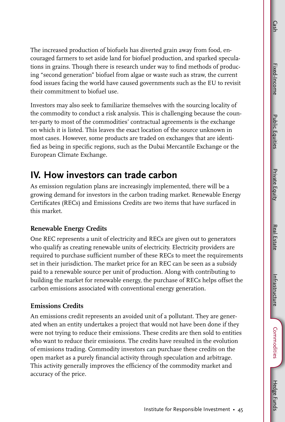**Public Equities** Public Equities

The increased production of biofuels has diverted grain away from food, encouraged farmers to set aside land for biofuel production, and sparked speculations in grains. Though there is research under way to find methods of producing "second generation" biofuel from algae or waste such as straw, the current food issues facing the world have caused governments such as the EU to revisit their commitment to biofuel use.

Investors may also seek to familiarize themselves with the sourcing locality of the commodity to conduct a risk analysis. This is challenging because the counter-party to most of the commodities' contractual agreements is the exchange on which it is listed. This leaves the exact location of the source unknown in most cases. However, some products are traded on exchanges that are identified as being in specific regions, such as the Dubai Mercantile Exchange or the European Climate Exchange.

## **IV. How investors can trade carbon**

As emission regulation plans are increasingly implemented, there will be a growing demand for investors in the carbon trading market. Renewable Energy Certificates (RECs) and Emissions Credits are two items that have surfaced in this market.

#### **Renewable Energy Credits**

One REC represents a unit of electricity and RECs are given out to generators who qualify as creating renewable units of electricity. Electricity providers are required to purchase sufficient number of these RECs to meet the requirements set in their jurisdiction. The market price for an REC can be seen as a subsidy paid to a renewable source per unit of production. Along with contributing to building the market for renewable energy, the purchase of RECs helps offset the carbon emissions associated with conventional energy generation.

#### **Emissions Credits**

An emissions credit represents an avoided unit of a pollutant. They are generated when an entity undertakes a project that would not have been done if they were not trying to reduce their emissions. These credits are then sold to entities who want to reduce their emissions. The credits have resulted in the evolution of emissions trading. Commodity investors can purchase these credits on the open market as a purely financial activity through speculation and arbitrage. This activity generally improves the efficiency of the commodity market and accuracy of the price.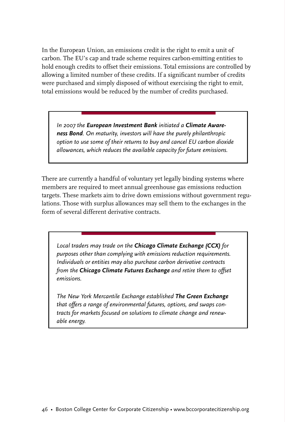In the European Union, an emissions credit is the right to emit a unit of carbon. The EU's cap and trade scheme requires carbon-emitting entities to hold enough credits to offset their emissions. Total emissions are controlled by allowing a limited number of these credits. If a significant number of credits were purchased and simply disposed of without exercising the right to emit, total emissions would be reduced by the number of credits purchased.

*In 2007 the European Investment Bank initiated a Climate Awareness Bond. On maturity, investors will have the purely philanthropic option to use some of their returns to buy and cancel EU carbon dioxide allowances, which reduces the available capacity for future emissions.*

There are currently a handful of voluntary yet legally binding systems where members are required to meet annual greenhouse gas emissions reduction targets. These markets aim to drive down emissions without government regulations. Those with surplus allowances may sell them to the exchanges in the form of several different derivative contracts.

*Local traders may trade on the Chicago Climate Exchange (CCX) for purposes other than complying with emissions reduction requirements. Individuals or entities may also purchase carbon derivative contracts from the Chicago Climate Futures Exchange and retire them to offset emissions.* 

*The New York Mercantile Exchange established The Green Exchange that offers a range of environmental futures, options, and swaps contracts for markets focused on solutions to climate change and renewable energy.*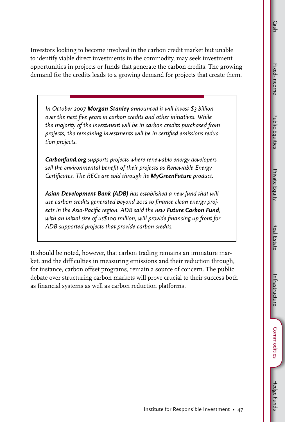Investors looking to become involved in the carbon credit market but unable to identify viable direct investments in the commodity, may seek investment opportunities in projects or funds that generate the carbon credits. The growing demand for the credits leads to a growing demand for projects that create them.

*In October 2007 Morgan Stanley announced it will invest \$3 billion over the next five years in carbon credits and other initiatives. While the majority of the investment will be in carbon credits purchased from projects, the remaining investments will be in certified emissions reduction projects.* 

*Carbonfund.org supports projects where renewable energy developers sell the environmental benefit of their projects as Renewable Energy Certificates. The RECs are sold through its MyGreenFuture product.* 

*Asian Development Bank (ADB) has established a new fund that will use carbon credits generated beyond 2012 to finance clean energy projects in the Asia-Pacific region. ADB said the new Future Carbon Fund, with an initial size of us\$100 million, will provide financing up front for ADB-supported projects that provide carbon credits.* 

It should be noted, however, that carbon trading remains an immature market, and the difficulties in measuring emissions and their reduction through, for instance, carbon offset programs, remain a source of concern. The public debate over structuring carbon markets will prove crucial to their success both as financial systems as well as carbon reduction platforms.

Fixed-Income

Fixed-Income

Cash

Infrastructure

Intrastructure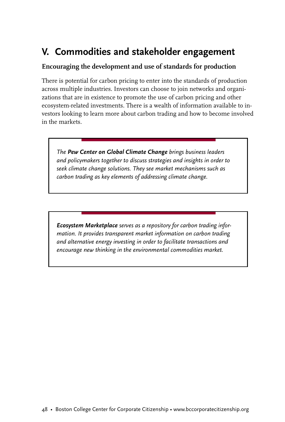## **V. Commodities and stakeholder engagement**

#### **Encouraging the development and use of standards for production**

There is potential for carbon pricing to enter into the standards of production across multiple industries. Investors can choose to join networks and organizations that are in existence to promote the use of carbon pricing and other ecosystem-related investments. There is a wealth of information available to investors looking to learn more about carbon trading and how to become involved in the markets.

*The Pew Center on Global Climate Change brings business leaders and policymakers together to discuss strategies and insights in order to seek climate change solutions. They see market mechanisms such as carbon trading as key elements of addressing climate change.* 

*Ecosystem Marketplace serves as a repository for carbon trading information. It provides transparent market information on carbon trading and alternative energy investing in order to facilitate transactions and encourage new thinking in the environmental commodities market.*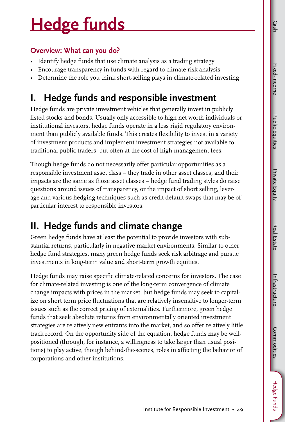**Public Equities** Public Equities

Hedge Funds

Cash

## **Hedge funds**

#### **Overview: What can you do?**

- Identify hedge funds that use climate analysis as a trading strategy
- Encourage transparency in funds with regard to climate risk analysis
- Determine the role you think short-selling plays in climate-related investing

## **I. Hedge funds and responsible investment**

Hedge funds are private investment vehicles that generally invest in publicly listed stocks and bonds. Usually only accessible to high net worth individuals or institutional investors, hedge funds operate in a less rigid regulatory environment than publicly available funds. This creates flexibility to invest in a variety of investment products and implement investment strategies not available to traditional public traders, but often at the cost of high management fees.

Though hedge funds do not necessarily offer particular opportunities as a responsible investment asset class – they trade in other asset classes, and their impacts are the same as those asset classes – hedge fund trading styles do raise questions around issues of transparency, or the impact of short selling, leverage and various hedging techniques such as credit default swaps that may be of particular interest to responsible investors.

## **II. Hedge funds and climate change**

Green hedge funds have at least the potential to provide investors with substantial returns, particularly in negative market environments. Similar to other hedge fund strategies, many green hedge funds seek risk arbitrage and pursue investments in long-term value and short-term growth equities.

Hedge funds may raise specific climate-related concerns for investors. The case for climate-related investing is one of the long-term convergence of climate change impacts with prices in the market, but hedge funds may seek to capitalize on short term price fluctuations that are relatively insensitive to longer-term issues such as the correct pricing of externalities. Furthermore, green hedge funds that seek absolute returns from environmentally oriented investment strategies are relatively new entrants into the market, and so offer relatively little track record. On the opportunity side of the equation, hedge funds may be wellpositioned (through, for instance, a willingness to take larger than usual positions) to play active, though behind-the-scenes, roles in affecting the behavior of corporations and other institutions.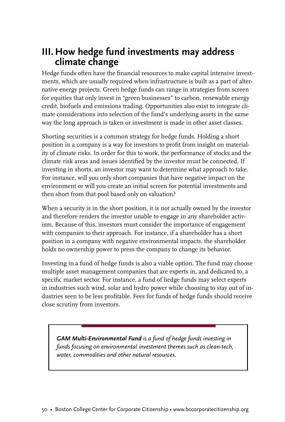### **III. How hedge fund investments may address climate change**

Hedge funds often have the financial resources to make capital intensive investments, which are usually required when infrastructure is built as a part of alternative energy projects. Green hedge funds can range in strategies from screen for equities that only invest in "green businesses" to carbon, renewable energy credit, biofuels and emissions trading. Opportunities also exist to integrate climate considerations into selection of the fund's underlying assets in the same way the long approach is taken or investment is made in other asset classes.

Shorting securities is a common strategy for hedge funds. Holding a short position in a company is a way for investors to profit from insight on materiality of climate risks. In order for this to work, the performance of stocks and the climate risk areas and issues identified by the investor must be connected. If investing in shorts, an investor may want to determine what approach to take. For instance, will you only short companies that have negative impact on the environment or will you create an initial screen for potential investments and then short from that pool based only on valuation?

When a security is in the short position, it is not actually owned by the investor and therefore renders the investor unable to engage in any shareholder activism. Because of this, investors must consider the importance of engagement with companies to their approach. For instance, if a shareholder has a short position in a company with negative environmental impacts, the shareholder holds no ownership power to press the company to change its behavior.

Investing in a fund of hedge funds is also a viable option. The fund may choose multiple asset management companies that are experts in, and dedicated to, a specific market sector. For instance, a fund of hedge funds may select experts in industries such wind, solar and hydro power while choosing to stay out of industries seen to be less profitable. Fees for funds of hedge funds should receive close scrutiny from investors.

*GAM Multi-Environmental Fund is a fund of hedge funds investing in funds focusing on environmental investment themes such as clean-tech, water, commodities and other natural resources.*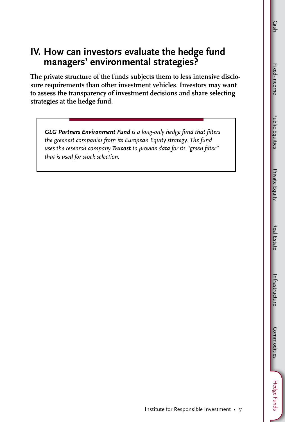Infrastructure

Intrastructure

### **IV. How can investors evaluate the hedge fund managers' environmental strategies?**

**The private structure of the funds subjects them to less intensive disclosure requirements than other investment vehicles. Investors may want to assess the transparency of investment decisions and share selecting strategies at the hedge fund.**

*GLG Partners Environment Fund is a long-only hedge fund that filters the greenest companies from its European Equity strategy. The fund uses the research company Trucost to provide data for its "green filter" that is used for stock selection.*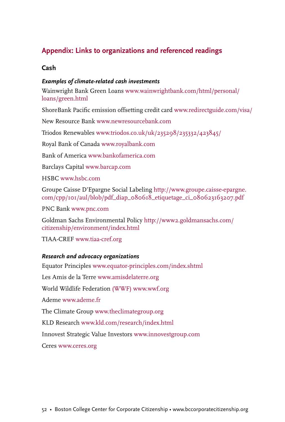#### **Appendix: Links to organizations and referenced readings**

#### **Cash**

#### *Examples of climate-related cash investments*

Wainwright Bank Green Loans www.wainwrightbank.com/html/personal/ loans/green.html

ShoreBank Pacific emission offsetting credit card www.redirectguide.com/visa/

New Resource Bank www.newresourcebank.com

Triodos Renewables www.triodos.co.uk/uk/235298/235332/423845/

Royal Bank of Canada www.royalbank.com

Bank of America www.bankofamerica.com

Barclays Capital www.barcap.com

HSBC www.hsbc.com

Groupe Caisse D'Epargne Social Labeling http://www.groupe.caisse-epargne. com/cpp/101/aul/blob/pdf\_diap\_080618\_etiquetage\_ci\_080623163207.pdf

PNC Bank www.pnc.com

Goldman Sachs Environmental Policy http://www2.goldmansachs.com/ citizenship/environment/index.html

TIAA-CREF www.tiaa-cref.org

#### *Research and advocacy organizations*

Equator Principles www.equator-principles.com/index.shtml Les Amis de la Terre www.amisdelaterre.org World Wildlife Federation (WWF) www.wwf.org Ademe www.ademe.fr The Climate Group www.theclimategroup.org KLD Research www.kld.com/research/index.html Innovest Strategic Value Investors www.innovestgroup.com Ceres www.ceres.org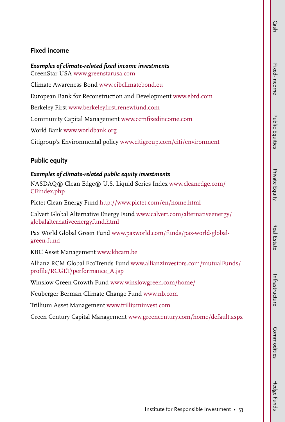#### **Fixed income**

*Examples of climate-related fixed income investments*

GreenStar USA www.greenstarusa.com

Climate Awareness Bond www.eibclimatebond.eu

European Bank for Reconstruction and Development www.ebrd.com

Berkeley First www.berkeleyfirst.renewfund.com

Community Capital Management www.ccmfixedincome.com

World Bank www.worldbank.org

Citigroup's Environmental policy www.citigroup.com/citi/environment

#### **Public equity**

#### *Examples of climate-related public equity investments*

NASDAQ® Clean Edge® U.S. Liquid Series Index www.cleanedge.com/ CEindex.php

Pictet Clean Energy Fund http://www.pictet.com/en/home.html

Calvert Global Alternative Energy Fund www.calvert.com/alternativeenergy/ globalalternativeenergyfund.html

Pax World Global Green Fund www.paxworld.com/funds/pax-world-globalgreen-fund

KBC Asset Management www.kbcam.be

Allianz RCM Global EcoTrends Fund www.allianzinvestors.com/mutualFunds/ profile/RCGET/performance\_A.jsp

Winslow Green Growth Fund www.winslowgreen.com/home/

Neuberger Berman Climate Change Fund www.nb.com

Trillium Asset Management www.trilliuminvest.com

Green Century Capital Management www.greencentury.com/home/default.aspx

Hedge Funds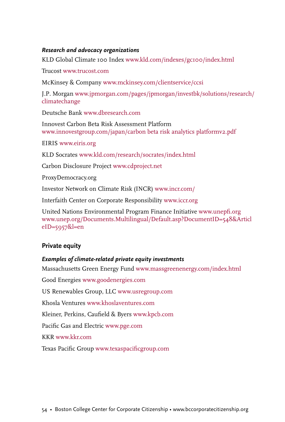#### *Research and advocacy organizations*

KLD Global Climate 100 Index www.kld.com/indexes/gc100/index.html

Trucost www.trucost.com

McKinsey & Company www.mckinsey.com/clientservice/ccsi

J.P. Morgan www.jpmorgan.com/pages/jpmorgan/investbk/solutions/research/ climatechange

Deutsche Bank www.dbresearch.com

Innovest Carbon Beta Risk Assessment Platform www.innovestgroup.com/japan/carbon beta risk analytics platformv2.pdf

EIRIS www.eiris.org

KLD Socrates www.kld.com/research/socrates/index.html

Carbon Disclosure Project www.cdproject.net

ProxyDemocracy.org

Investor Network on Climate Risk (INCR) www.incr.com/

Interfaith Center on Corporate Responsibility www.iccr.org

United Nations Environmental Program Finance Initiative www.unepfi.org www.unep.org/Documents.Multilingual/Default.asp?DocumentID=548&Articl eID=5957&l=en

#### **Private equity**

#### *Examples of climate-related private equity investments*

Massachusetts Green Energy Fund www.massgreenenergy.com/index.html

Good Energies www.goodenergies.com

US Renewables Group, LLC www.usregroup.com

Khosla Ventures www.khoslaventures.com

Kleiner, Perkins, Caufield & Byers www.kpcb.com

Pacific Gas and Electric www.pge.com

KKR www.kkr.com

Texas Pacific Group www.texaspacificgroup.com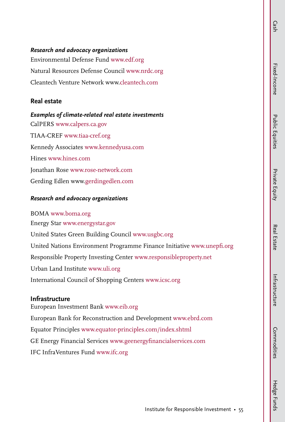#### *Research and advocacy organizations*

Environmental Defense Fund www.edf.org Natural Resources Defense Council www.nrdc.org Cleantech Venture Network www.cleantech.com

#### **Real estate**

#### *Examples of climate-related real estate investments*

CalPERS www.calpers.ca.gov TIAA-CREF www.tiaa-cref.org Kennedy Associates www.kennedyusa.com Hines www.hines.com Jonathan Rose www.rose-network.com Gerding Edlen www.gerdingedlen.com

#### *Research and advocacy organizations*

BOMA www.boma.org Energy Star www.energystar.gov United States Green Building Council www.usgbc.org United Nations Environment Programme Finance Initiative www.unepfi.org Responsible Property Investing Center www.responsibleproperty.net Urban Land Institute www.uli.org International Council of Shopping Centers www.icsc.org

#### **Infrastructure**

European Investment Bank www.eib.org European Bank for Reconstruction and Development www.ebrd.com Equator Principles www.equator-principles.com/index.shtml GE Energy Financial Services www.geenergyfinancialservices.com IFC InfraVentures Fund www.ifc.org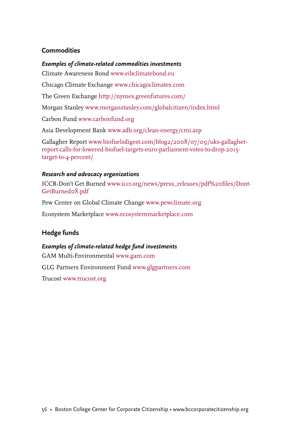#### **Commodities**

#### *Examples of climate-related commodities investments*

Climate Awareness Bond www.eibclimatebond.eu

Chicago Climate Exchange www.chicagoclimatex.com

The Green Exchange http://nymex.greenfutures.com/

Morgan Stanley www.morganstanley.com/globalcitizen/index.html

Carbon Fund www.carbonfund.org

Asia Development Bank www.adb.org/clean-energy/cmi.asp

Gallagher Report www.biofuelsdigest.com/blog2/2008/07/09/uks-gallagherreport-calls-for-lowered-biofuel-targets-euro-parliament-votes-to-drop-2015 target-to-4-percent/

#### *Research and advocacy organizations*

ICCR-Don't Get Burned www.iccr.org/news/press\_releases/pdf%20files/Dont-GetBurned08.pdf

Pew Center on Global Climate Change www.pewclimate.org

Ecosystem Marketplace www.ecosystemmarketplace.com

#### **Hedge funds**

#### *Examples of climate-related hedge fund investments*

GAM Multi-Environmental www.gam.com

GLG Partners Environment Fund www.glgpartners.com

Trucost www.trucost.org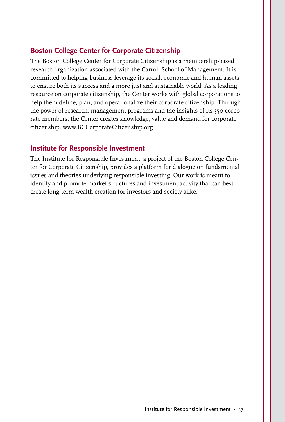#### **Boston College Center for Corporate Citizenship**

The Boston College Center for Corporate Citizenship is a membership-based research organization associated with the Carroll School of Management. It is committed to helping business leverage its social, economic and human assets to ensure both its success and a more just and sustainable world. As a leading resource on corporate citizenship, the Center works with global corporations to help them define, plan, and operationalize their corporate citizenship. Through the power of research, management programs and the insights of its 350 corporate members, the Center creates knowledge, value and demand for corporate citizenship. www.BCCorporateCitizenship.org

#### **Institute for Responsible Investment**

The Institute for Responsible Investment, a project of the Boston College Center for Corporate Citizenship, provides a platform for dialogue on fundamental issues and theories underlying responsible investing. Our work is meant to identify and promote market structures and investment activity that can best create long-term wealth creation for investors and society alike.